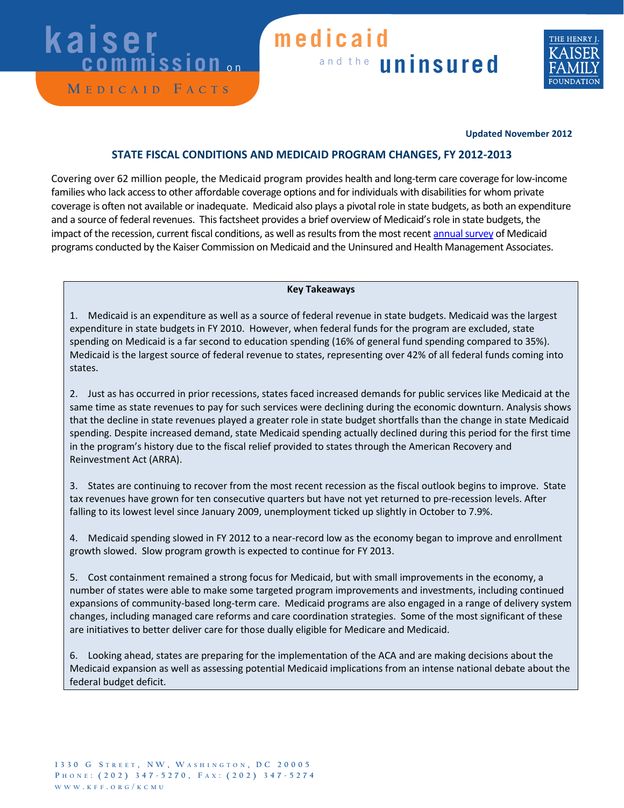# **kaiser**<br>commission

**M edicaid F acts**

### and the **uninsured medicaid**



#### **Updated November 2012**

#### **STATE FISCAL CONDITIONS AND MEDICAID PROGRAM CHANGES, FY 2012-2013**

Covering over 62 million people, the Medicaid program provides health and long-term care coverage for low-income families who lack access to other affordable coverage options and for individuals with disabilities for whom private coverage is often not available or inadequate. Medicaid also plays a pivotal role in state budgets, as both an expenditure and a source of federal revenues. This factsheet provides a brief overview of Medicaid's role in state budgets, the impact of the recession, current fiscal conditions, as well as resultsfrom the most recen[t annual survey](http://www.kff.org/medicaid/8380.cfm) of Medicaid programs conducted by the Kaiser Commission on Medicaid and the Uninsured and Health Management Associates.

#### **Key Takeaways**

1. Medicaid is an expenditure as well as a source of federal revenue in state budgets. Medicaid was the largest expenditure in state budgets in FY 2010. However, when federal funds for the program are excluded, state spending on Medicaid is a far second to education spending (16% of general fund spending compared to 35%). Medicaid is the largest source of federal revenue to states, representing over 42% of all federal funds coming into states.

2. Just as has occurred in prior recessions, states faced increased demands for public services like Medicaid at the same time as state revenues to pay for such services were declining during the economic downturn. Analysis shows that the decline in state revenues played a greater role in state budget shortfalls than the change in state Medicaid spending. Despite increased demand, state Medicaid spending actually declined during this period for the first time in the program's history due to the fiscal relief provided to states through the American Recovery and Reinvestment Act (ARRA).

3. States are continuing to recover from the most recent recession as the fiscal outlook begins to improve. State tax revenues have grown for ten consecutive quarters but have not yet returned to pre-recession levels. After falling to its lowest level since January 2009, unemployment ticked up slightly in October to 7.9%.

4. Medicaid spending slowed in FY 2012 to a near-record low as the economy began to improve and enrollment growth slowed. Slow program growth is expected to continue for FY 2013.

5. Cost containment remained a strong focus for Medicaid, but with small improvements in the economy, a number of states were able to make some targeted program improvements and investments, including continued expansions of community-based long-term care. Medicaid programs are also engaged in a range of delivery system changes, including managed care reforms and care coordination strategies. Some of the most significant of these are initiatives to better deliver care for those dually eligible for Medicare and Medicaid.

6. Looking ahead, states are preparing for the implementation of the ACA and are making decisions about the Medicaid expansion as well as assessing potential Medicaid implications from an intense national debate about the federal budget deficit.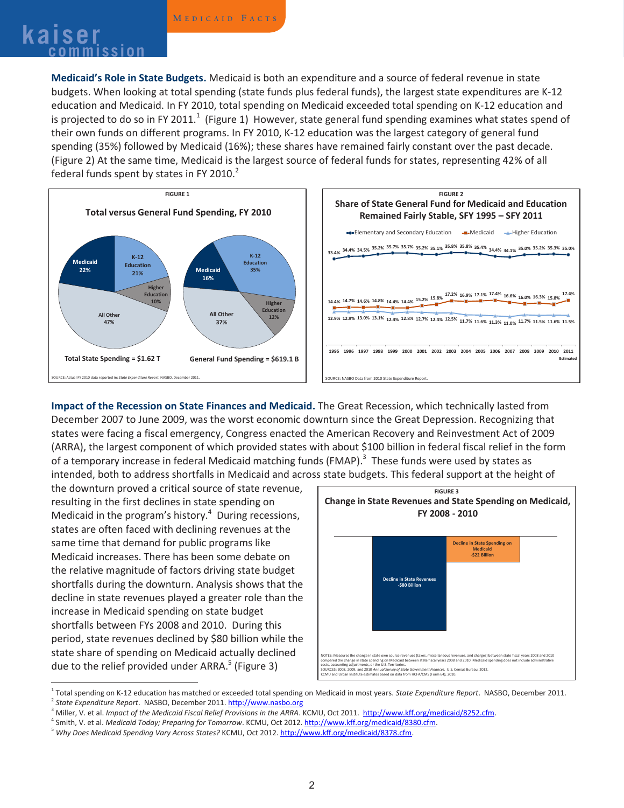## **Kaiser** MEDICAID FACTS

**Medicaid's Role in State Budgets.** Medicaid is both an expenditure and a source of federal revenue in state budgets. When looking at total spending (state funds plus federal funds), the largest state expenditures are K-12 education and Medicaid. In FY 2010, total spending on Medicaid exceeded total spending on K-12 education and is projected to do so in FY 2011.<sup>1</sup> (Figure 1) However, state general fund spending examines what states spend of their own funds on different programs. In FY 2010, K-12 education was the largest category of general fund spending (35%) followed by Medicaid (16%); these shares have remained fairly constant over the past decade. (Figure 2) At the same time, Medicaid is the largest source of federal funds for states, representing 42% of all federal funds spent by states in FY 2010. $^2$ 



**Impact of the Recession on State Finances and Medicaid.** The Great Recession, which technically lasted from December 2007 to June 2009, was the worst economic downturn since the Great Depression. Recognizing that states were facing a fiscal emergency, Congress enacted the American Recovery and Reinvestment Act of 2009 (ARRA), the largest component of which provided states with about \$100 billion in federal fiscal relief in the form of a temporary increase in federal Medicaid matching funds (FMAP).<sup>3</sup> These funds were used by states as intended, both to address shortfalls in Medicaid and across state budgets. This federal support at the height of

the downturn proved a critical source of state revenue, resulting in the first declines in state spending on Medicaid in the program's history. $4$  During recessions, states are often faced with declining revenues at the same time that demand for public programs like Medicaid increases. There has been some debate on the relative magnitude of factors driving state budget shortfalls during the downturn. Analysis shows that the decline in state revenues played a greater role than the increase in Medicaid spending on state budget shortfalls between FYs 2008 and 2010. During this period, state revenues declined by \$80 billion while the state share of spending on Medicaid actually declined due to the relief provided under ARRA.<sup>5</sup> (Figure 3)



<sup>&</sup>lt;sup>1</sup> Total spending on K-12 education has matched or exceeded total spending on Medicaid in most years. State Expenditure Report. NASBO, December 2011.<br><sup>2</sup> State Expenditure Report. NASBO, December 2011. http://www.nasbo.or

<sup>&</sup>lt;sup>3</sup> Miller, V. et al. *Impact of the Medicaid Fiscal Relief Provisions in the ARRA*. KCMU, Oct 2011. http://www.kff.org/medicaid/8252.cfm.<br><sup>4</sup> Smith, V. et al. *Medicaid Today; Preparing for Tomorrow*. KCMU, Oct 2012. http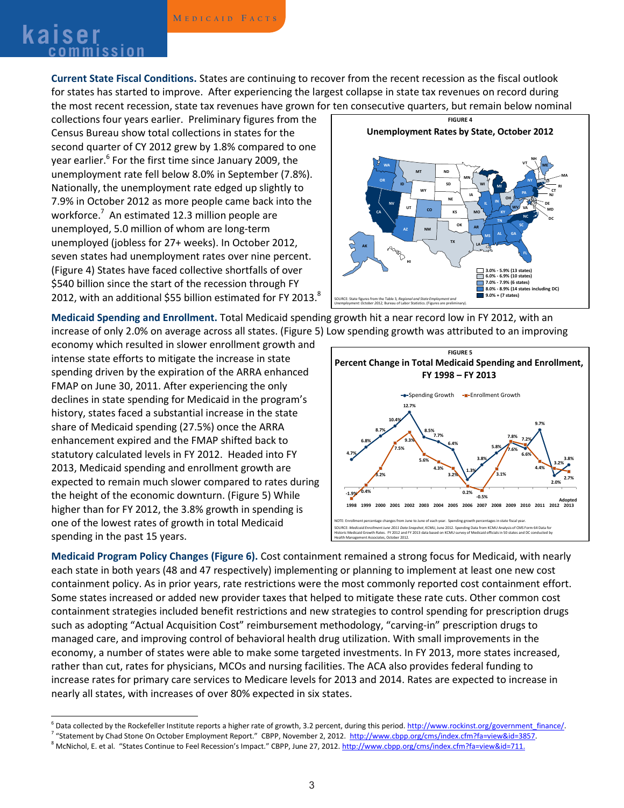### **<sup>M</sup> edicaid F acts kaiser commission**

**Current State Fiscal Conditions.** States are continuing to recover from the recent recession as the fiscal outlook for states has started to improve. After experiencing the largest collapse in state tax revenues on record during the most recent recession, state tax revenues have grown for ten consecutive quarters, but remain below nominal

collections four years earlier. Preliminary figures from the Census Bureau show total collections in states for the second quarter of CY 2012 grew by 1.8% compared to one year earlier.<sup>6</sup> For the first time since January 2009, the unemployment rate fell below 8.0% in September (7.8%). Nationally, the unemployment rate edged up slightly to 7.9% in October 2012 as more people came back into the workforce. <sup>7</sup> An estimated 12.3 million people are unemployed, 5.0 million of whom are long-term unemployed (jobless for 27+ weeks). In October 2012, seven states had unemployment rates over nine percent. (Figure 4) States have faced collective shortfalls of over \$540 billion since the start of the recession through FY 2012, with an additional \$55 billion estimated for FY 2013. $^8$ 



**Medicaid Spending and Enrollment.** Total Medicaid spending growth hit a near record low in FY 2012, with an

increase of only 2.0% on average across all states. (Figure 5) Low spending growth was attributed to an improving economy which resulted in slower enrollment growth and intense state efforts to mitigate the increase in state spending driven by the expiration of the ARRA enhanced FMAP on June 30, 2011. After experiencing the only declines in state spending for Medicaid in the program's history, states faced a substantial increase in the state share of Medicaid spending (27.5%) once the ARRA enhancement expired and the FMAP shifted back to statutory calculated levels in FY 2012. Headed into FY 2013, Medicaid spending and enrollment growth are expected to remain much slower compared to rates during the height of the economic downturn. (Figure 5) While higher than for FY 2012, the 3.8% growth in spending is one of the lowest rates of growth in total Medicaid spending in the past 15 years.



**Medicaid Program Policy Changes (Figure 6).** Cost containment remained a strong focus for Medicaid, with nearly each state in both years (48 and 47 respectively) implementing or planning to implement at least one new cost containment policy. As in prior years, rate restrictions were the most commonly reported cost containment effort. Some states increased or added new provider taxes that helped to mitigate these rate cuts. Other common cost containment strategies included benefit restrictions and new strategies to control spending for prescription drugs such as adopting "Actual Acquisition Cost" reimbursement methodology, "carving-in" prescription drugs to managed care, and improving control of behavioral health drug utilization. With small improvements in the economy, a number of states were able to make some targeted investments. In FY 2013, more states increased, rather than cut, rates for physicians, MCOs and nursing facilities. The ACA also provides federal funding to increase rates for primary care services to Medicare levels for 2013 and 2014. Rates are expected to increase in nearly all states, with increases of over 80% expected in six states.

<sup>&</sup>lt;sup>6</sup> Data collected by the Rockefeller Institute reports a higher rate of growth, 3.2 percent, during this period. http://www.rockinst.org/government finance/.<br><sup>7</sup> "Statement by Chad Stone On October Employment Report." CBP